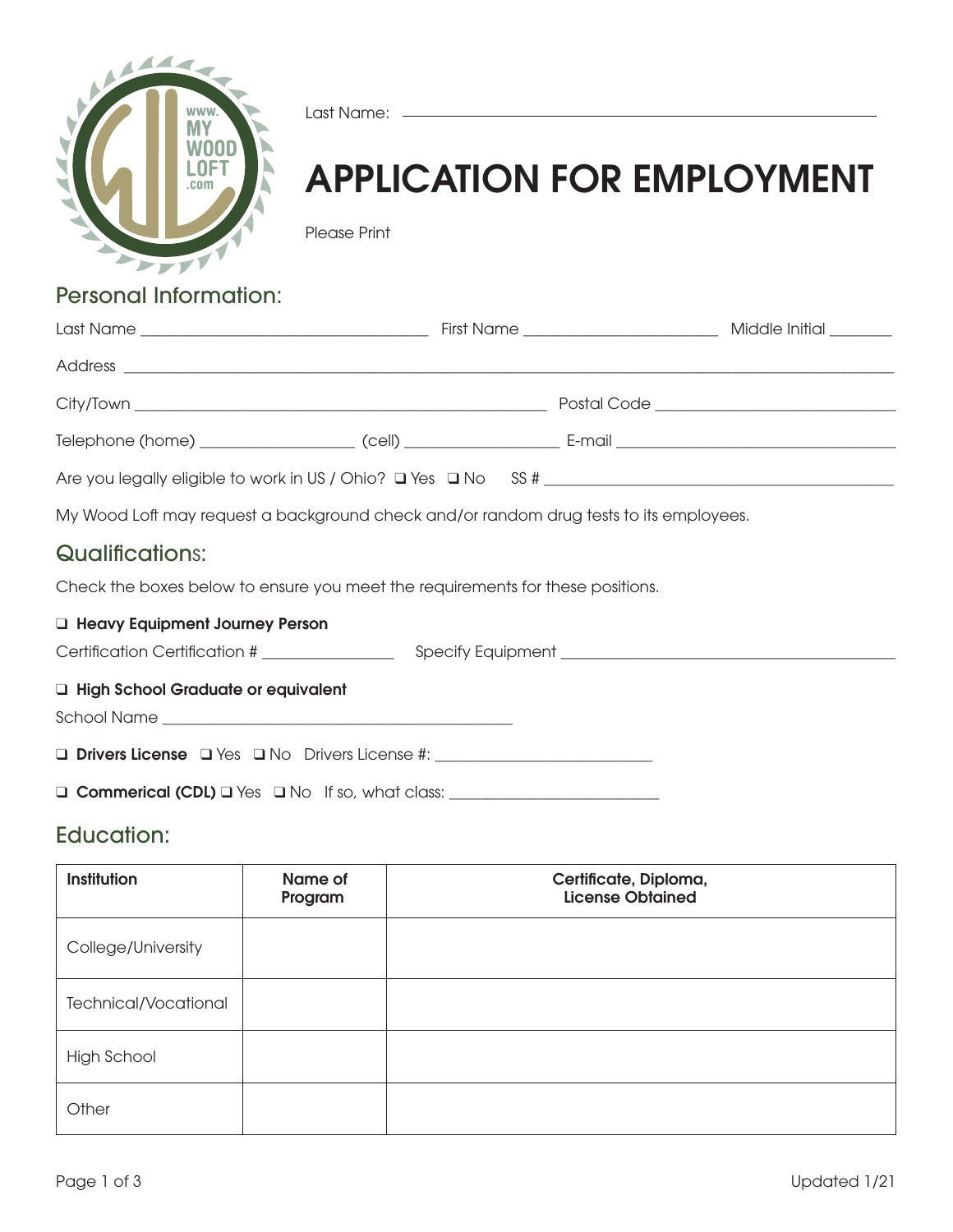

Last Name: \_\_\_\_\_

# APPLICATION FOR EMPLOYMENT

Please Print

# Personal Information:

|                                                                                        |  |  | Middle Initial _______ |  |
|----------------------------------------------------------------------------------------|--|--|------------------------|--|
|                                                                                        |  |  |                        |  |
|                                                                                        |  |  |                        |  |
|                                                                                        |  |  |                        |  |
|                                                                                        |  |  |                        |  |
| My Wood Loft may request a background check and/or random drug tests to its employees. |  |  |                        |  |

# Qualifications:

Check the boxes below to ensure you meet the requirements for these positions.

#### **Q Heavy Equipment Journey Person**

Certification Certification # \_\_\_\_\_\_\_\_\_\_\_\_\_\_\_\_\_ Specify Equipment \_\_\_\_\_\_\_\_\_\_\_\_\_\_\_\_\_\_\_\_\_\_\_\_\_\_\_\_\_\_\_\_\_\_\_\_\_\_\_\_\_\_\_

#### **Q High School Graduate or equivalent**

School Name \_\_\_\_\_\_\_\_\_\_\_\_\_\_\_\_\_\_\_\_\_\_\_\_\_\_\_\_\_\_\_\_\_\_\_\_\_\_\_\_\_\_\_\_\_

q Drivers License q Yes q No Drivers License #: \_\_\_\_\_\_\_\_\_\_\_\_\_\_\_\_\_\_\_\_\_\_\_\_\_\_\_\_

 $\Box$  Commerical (CDL)  $\Box$  Yes  $\Box$  No If so, what class:  $\Box$ 

## Education:

| Institution                 | Name of<br>Program | Certificate, Diploma,<br><b>License Obtained</b> |
|-----------------------------|--------------------|--------------------------------------------------|
| College/University          |                    |                                                  |
| <b>Technical/Vocational</b> |                    |                                                  |
| High School                 |                    |                                                  |
| Other                       |                    |                                                  |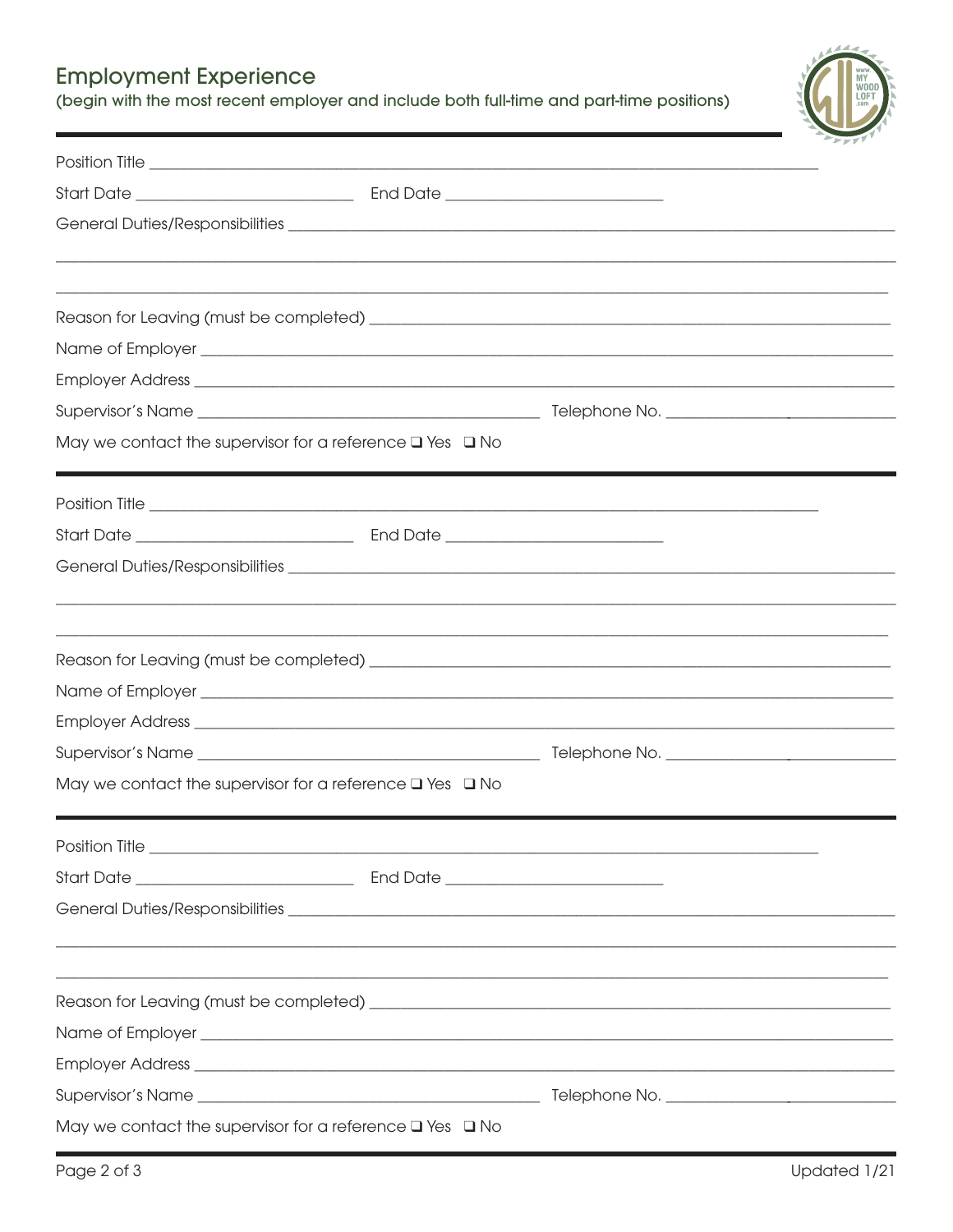# **Employment Experience**

(begin with the most recent employer and include both full-time and part-time positions)

| May we contact the supervisor for a reference $\square$ Yes $\square$ No |  |  |
|--------------------------------------------------------------------------|--|--|
|                                                                          |  |  |
|                                                                          |  |  |
|                                                                          |  |  |
|                                                                          |  |  |
|                                                                          |  |  |
|                                                                          |  |  |
|                                                                          |  |  |
| May we contact the supervisor for a reference $\square$ Yes $\square$ No |  |  |
|                                                                          |  |  |
|                                                                          |  |  |
|                                                                          |  |  |
|                                                                          |  |  |
|                                                                          |  |  |
|                                                                          |  |  |
|                                                                          |  |  |
|                                                                          |  |  |
| May we contact the supervisor for a reference $\square$ Yes $\square$ No |  |  |